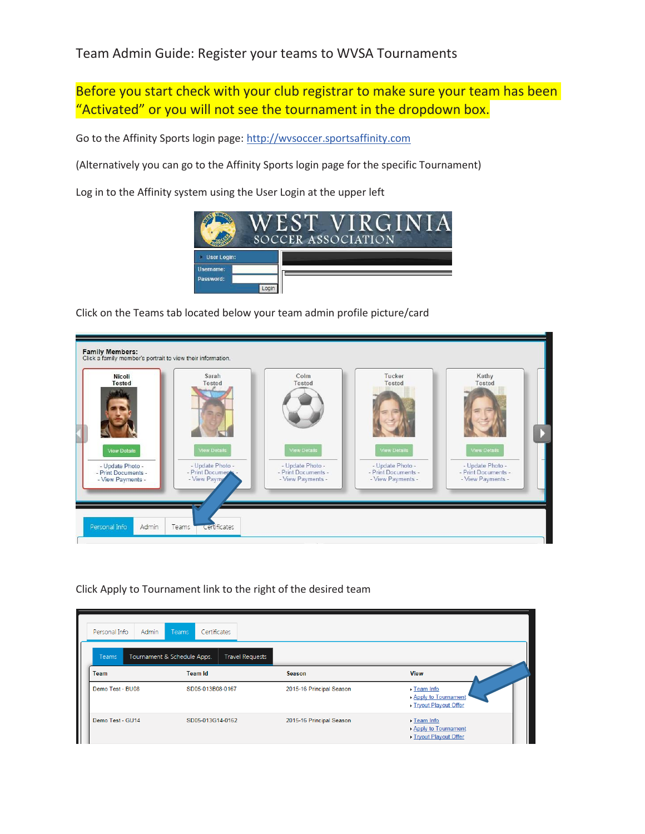## Team Admin Guide: Register your teams to WVSA Tournaments

Before you start check with your club registrar to make sure your team has been "Activated" or you will not see the tournament in the dropdown box.

Go to the Affinity Sports login page: [http://wvsoccer.sportsaffinity.com](http://wvsoccer.sportsaffinity.com/)

(Alternatively you can go to the Affinity Sports login page for the specific Tournament)

Log in to the Affinity system using the User Login at the upper left



Click on the Teams tab located below your team admin profile picture/card



Click Apply to Tournament link to the right of the desired team

| Admin<br>Personal Info      | Teams<br>Certificates                                                   |                          |                                                                                    |
|-----------------------------|-------------------------------------------------------------------------|--------------------------|------------------------------------------------------------------------------------|
| <b>Teams</b><br><b>Team</b> | Tournament & Schedule Apps.<br><b>Travel Requests</b><br><b>Team Id</b> | <b>Season</b>            | <b>View</b>                                                                        |
| Demo Test - BU08            | SD05-013B08-0167                                                        | 2015-16 Principal Season | $\blacktriangleright$ Team Info<br>Apply to Tournament<br>> Tryout Playout Offer   |
| Demo Test - GU14            | SD05-013G14-0162                                                        | 2015-16 Principal Season | $\blacktriangleright$ Team Info<br>▶ Apply to Tournament<br>▶ Tryout Playout Offer |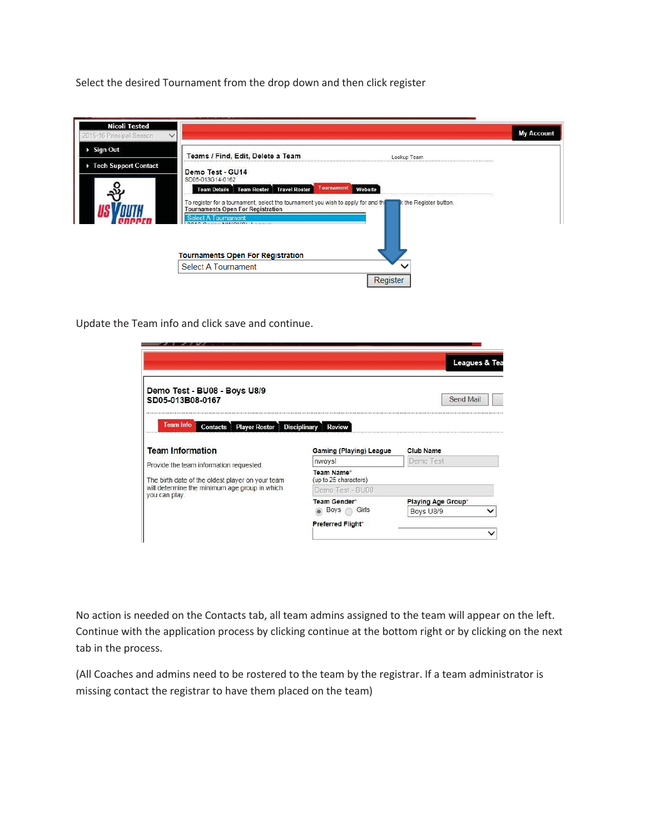Select the desired Tournament from the drop down and then click register



Update the Team info and click save and continue.

|                                                                                                                                                                                          |                                      | Leagues & Tea      |
|------------------------------------------------------------------------------------------------------------------------------------------------------------------------------------------|--------------------------------------|--------------------|
| Demo Test - BU08 - Boys U8/9<br>SD05-013B08-0167                                                                                                                                         |                                      | Send Mail          |
| Team Info<br><b>Player Roster</b><br><b>Contacts</b>                                                                                                                                     | <b>Disciplinary</b><br><b>Review</b> |                    |
|                                                                                                                                                                                          |                                      |                    |
|                                                                                                                                                                                          | Gaming (Playing) League              | <b>Club Name</b>   |
|                                                                                                                                                                                          | nwoysl                               | Demo Test          |
|                                                                                                                                                                                          | Team Name*<br>(up to 25 characters)  |                    |
|                                                                                                                                                                                          | Demo Test - BU08                     |                    |
|                                                                                                                                                                                          | <b>Team Gender*</b>                  | Playing Age Group* |
|                                                                                                                                                                                          | Boys<br>Girls                        | Boys U8/9          |
| <b>Team Information</b><br>Provide the team information requested.<br>The birth date of the oldest player on your team<br>will determine the minimum age group in which<br>you can play. | Preferred Flight*                    |                    |

No action is needed on the Contacts tab, all team admins assigned to the team will appear on the left. Continue with the application process by clicking continue at the bottom right or by clicking on the next tab in the process.

(All Coaches and admins need to be rostered to the team by the registrar. If a team administrator is missing contact the registrar to have them placed on the team)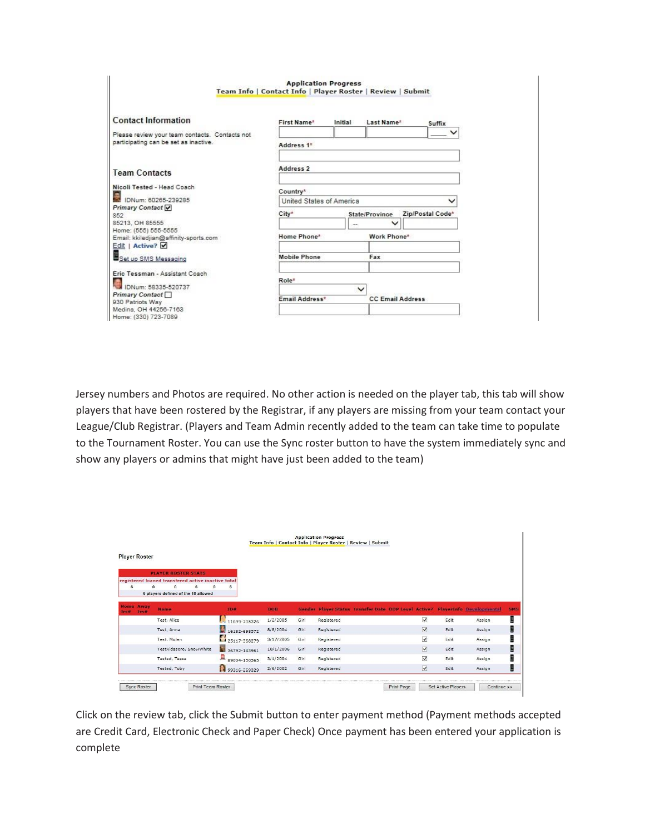|                                                               | <b>Application Progress</b><br>Team Info   Contact Info   Player Roster   Review   Submit |         |                         |                  |  |  |
|---------------------------------------------------------------|-------------------------------------------------------------------------------------------|---------|-------------------------|------------------|--|--|
| <b>Contact Information</b>                                    | First Name*                                                                               | Initial | Last Name*              | Suffix           |  |  |
| Please review your team contacts. Contacts not                |                                                                                           |         |                         |                  |  |  |
| participating can be set as inactive.                         | Address 1*                                                                                |         |                         |                  |  |  |
| <b>Team Contacts</b>                                          | Address 2                                                                                 |         |                         |                  |  |  |
| Nicoli Tested - Head Coach                                    | Country*                                                                                  |         |                         |                  |  |  |
| IDNum: 60265-239285                                           | United States of America                                                                  |         |                         |                  |  |  |
| Primary Contact V                                             |                                                                                           |         |                         |                  |  |  |
| 852                                                           | City*                                                                                     |         | State/Province          | Zip/Postal Code* |  |  |
| 85213. OH 85555                                               |                                                                                           |         | $\check{ }$             |                  |  |  |
| Home: (555) 555-5555<br>Email: kkiledjian@affinity-sports.com | Home Phone*                                                                               |         | Work Phone*             |                  |  |  |
| Edit   Active?                                                |                                                                                           |         |                         |                  |  |  |
| Set up SMS Messaging                                          | <b>Mobile Phone</b>                                                                       |         | Fax                     |                  |  |  |
| Eric Tessman - Assistant Coach                                | Role*                                                                                     |         |                         |                  |  |  |
| IDNum: 58335-520737                                           |                                                                                           |         |                         |                  |  |  |
| Primary Contact                                               |                                                                                           |         |                         |                  |  |  |
| 930 Patriots Way                                              | Email Address*                                                                            |         | <b>CC Email Address</b> |                  |  |  |
| Medina, OH 44256-7163                                         |                                                                                           |         |                         |                  |  |  |
| Home: (330) 723-7089                                          |                                                                                           |         |                         |                  |  |  |

Jersey numbers and Photos are required. No other action is needed on the player tab, this tab will show players that have been rostered by the Registrar, if any players are missing from your team contact your League/Club Registrar. (Players and Team Admin recently added to the team can take time to populate to the Tournament Roster. You can use the Sync roster button to have the system immediately sync and show any players or admins that might have just been added to the team)

| <b>Player Roster</b>              |                                                    |                    |            |      |                                                                               |                         |      |        |
|-----------------------------------|----------------------------------------------------|--------------------|------------|------|-------------------------------------------------------------------------------|-------------------------|------|--------|
|                                   |                                                    |                    |            |      |                                                                               |                         |      |        |
|                                   | <b>PLAYER ROSTER STATS</b>                         |                    |            |      |                                                                               |                         |      |        |
|                                   | registered loaned transfered active inactive total |                    |            |      |                                                                               |                         |      |        |
| 6<br>o                            | 6 players defined of the 18 allowed                | 6                  |            |      |                                                                               |                         |      |        |
|                                   |                                                    |                    |            |      |                                                                               |                         |      |        |
| <b>Home Away</b><br>Jes#<br>les a | <b>Name</b>                                        | <b>TD#</b>         | <b>DOB</b> |      | Gender Player Status Transfer Date ODP Level Active? PlayerInfo Developmental |                         |      |        |
|                                   | Test, Alice                                        | 11699-705326       | 1/2/2005   | Girl | Registered                                                                    | $\overline{\mathsf{v}}$ | Edit | Assign |
|                                   | Test, Anna                                         | J.<br>16182-698572 | 8/8/2004   | Girl | Registered                                                                    | $\overline{\mathsf{v}}$ | Edit | Assign |
|                                   | Test, Mulan                                        | 25117-368279       | 3/17/2005  | Girl | Registered                                                                    | $\overline{\mathsf{v}}$ | Edit | Assign |
|                                   | TestAldasoro, SnowWhite                            | 36792-143961       | 10/1/2006  | Girl | Registered                                                                    | $\overline{\mathbf{v}}$ | Edit | Assign |
|                                   | Tested, Tessa                                      | 黒<br>89004-150565  | 3/1/2004   | Girl | Registered                                                                    | $\overline{\mathsf{v}}$ | Edit | Assign |
|                                   | Tested, Toby                                       | 99316-269329       | 2/6/2002   | Girl | Registered                                                                    | $\overline{\mathbf{v}}$ | Edit | Assign |

Click on the review tab, click the Submit button to enter payment method (Payment methods accepted are Credit Card, Electronic Check and Paper Check) Once payment has been entered your application is complete